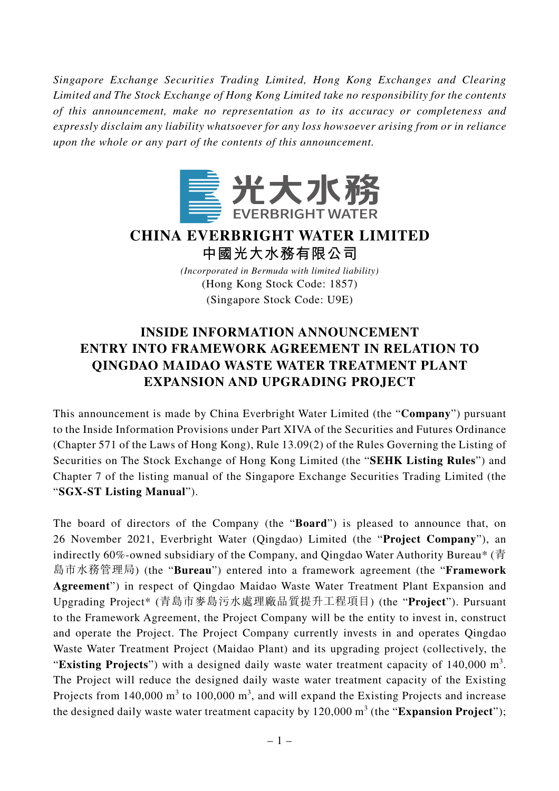*Singapore Exchange Securities Trading Limited, Hong Kong Exchanges and Clearing Limited and The Stock Exchange of Hong Kong Limited take no responsibility for the contents of this announcement, make no representation as to its accuracy or completeness and expressly disclaim any liability whatsoever for any loss howsoever arising from or in reliance upon the whole or any part of the contents of this announcement.*



## **CHINA EVERBRIGHT WATER LIMITED 中國光大水務有限公司**

*(Incorporated in Bermuda with limited liability)* (Hong Kong Stock Code: 1857) (Singapore Stock Code: U9E)

## **INSIDE INFORMATION ANNOUNCEMENT ENTRY INTO FRAMEWORK AGREEMENT IN RELATION TO QINGDAO MAIDAO WASTE WATER TREATMENT PLANT EXPANSION AND UPGRADING PROJECT**

This announcement is made by China Everbright Water Limited (the "**Company**") pursuant to the Inside Information Provisions under Part XIVA of the Securities and Futures Ordinance (Chapter 571 of the Laws of Hong Kong), Rule 13.09(2) of the Rules Governing the Listing of Securities on The Stock Exchange of Hong Kong Limited (the "**SEHK Listing Rules**") and Chapter 7 of the listing manual of the Singapore Exchange Securities Trading Limited (the "**SGX-ST Listing Manual**").

The board of directors of the Company (the "**Board**") is pleased to announce that, on 26 November 2021, Everbright Water (Qingdao) Limited (the "**Project Company**"), an indirectly 60%-owned subsidiary of the Company, and Qingdao Water Authority Bureau\* (青 島市水務管理局) (the "**Bureau**") entered into a framework agreement (the "**Framework Agreement**") in respect of Qingdao Maidao Waste Water Treatment Plant Expansion and Upgrading Project\* (青島市麥島污水處理廠品質提升工程項目) (the "**Project**"). Pursuant to the Framework Agreement, the Project Company will be the entity to invest in, construct and operate the Project. The Project Company currently invests in and operates Qingdao Waste Water Treatment Project (Maidao Plant) and its upgrading project (collectively, the "Existing Projects") with a designed daily waste water treatment capacity of 140,000 m<sup>3</sup>. The Project will reduce the designed daily waste water treatment capacity of the Existing Projects from 140,000 m<sup>3</sup> to 100,000 m<sup>3</sup>, and will expand the Existing Projects and increase the designed daily waste water treatment capacity by  $120,000 \text{ m}^3$  (the "**Expansion Project**");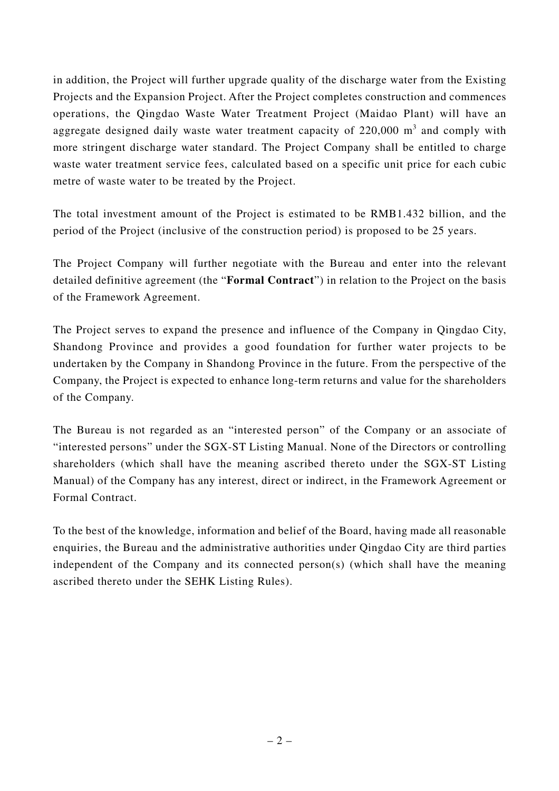in addition, the Project will further upgrade quality of the discharge water from the Existing Projects and the Expansion Project. After the Project completes construction and commences operations, the Qingdao Waste Water Treatment Project (Maidao Plant) will have an aggregate designed daily waste water treatment capacity of  $220,000 \text{ m}^3$  and comply with more stringent discharge water standard. The Project Company shall be entitled to charge waste water treatment service fees, calculated based on a specific unit price for each cubic metre of waste water to be treated by the Project.

The total investment amount of the Project is estimated to be RMB1.432 billion, and the period of the Project (inclusive of the construction period) is proposed to be 25 years.

The Project Company will further negotiate with the Bureau and enter into the relevant detailed definitive agreement (the "**Formal Contract**") in relation to the Project on the basis of the Framework Agreement.

The Project serves to expand the presence and influence of the Company in Qingdao City, Shandong Province and provides a good foundation for further water projects to be undertaken by the Company in Shandong Province in the future. From the perspective of the Company, the Project is expected to enhance long-term returns and value for the shareholders of the Company.

The Bureau is not regarded as an "interested person" of the Company or an associate of "interested persons" under the SGX-ST Listing Manual. None of the Directors or controlling shareholders (which shall have the meaning ascribed thereto under the SGX-ST Listing Manual) of the Company has any interest, direct or indirect, in the Framework Agreement or Formal Contract.

To the best of the knowledge, information and belief of the Board, having made all reasonable enquiries, the Bureau and the administrative authorities under Qingdao City are third parties independent of the Company and its connected person(s) (which shall have the meaning ascribed thereto under the SEHK Listing Rules).